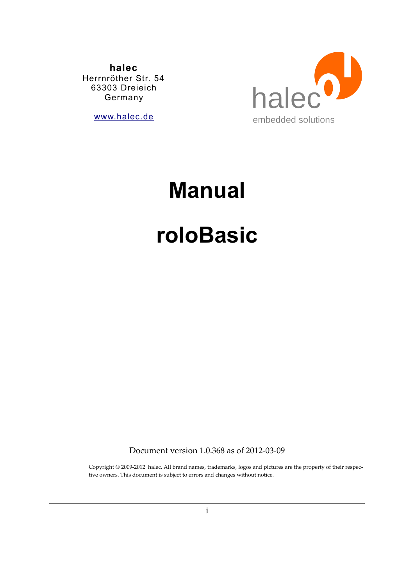**halec** Herrnröther Str. 54 63303 Dreieich Germany

[www.halec.de](http://www.halec.de/)



# **Manual**

# **roloBasic**

Document version 1.0.368 as of 2012-03-09

Copyright © 2009-2012 halec. All brand names, trademarks, logos and pictures are the property of their respective owners. This document is subject to errors and changes without notice.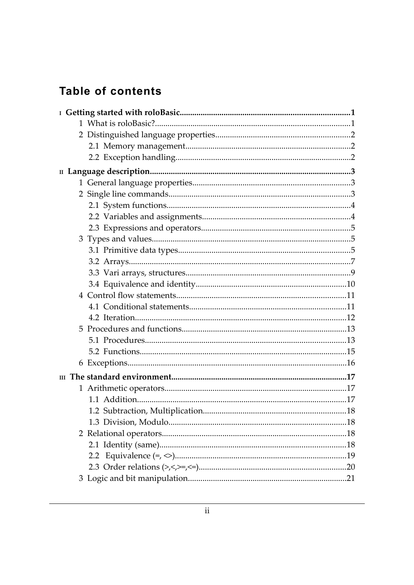# **Table of contents**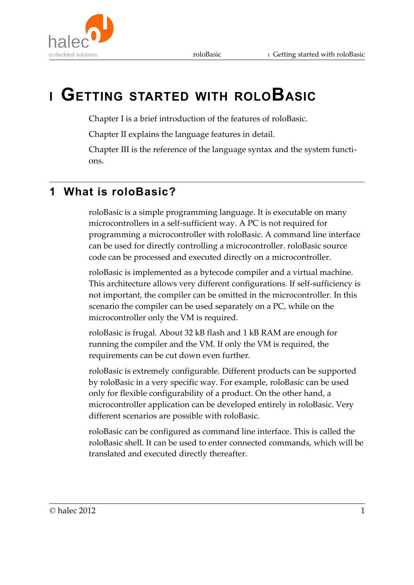

# **<sup>I</sup> GETTING STARTED WITH ROLOBASIC**

Chapter I is a brief introduction of the features of roloBasic.

Chapter II explains the language features in detail.

Chapter III is the reference of the language syntax and the system functions.

# **1 What is roloBasic?**

roloBasic is a simple programming language. It is executable on many microcontrollers in a self-sufficient way. A PC is not required for programming a microcontroller with roloBasic. A command line interface can be used for directly controlling a microcontroller. roloBasic source code can be processed and executed directly on a microcontroller.

roloBasic is implemented as a bytecode compiler and a virtual machine. This architecture allows very different configurations. If self-sufficiency is not important, the compiler can be omitted in the microcontroller. In this scenario the compiler can be used separately on a PC, while on the microcontroller only the VM is required.

roloBasic is frugal. About 32 kB flash and 1 kB RAM are enough for running the compiler and the VM. If only the VM is required, the requirements can be cut down even further.

roloBasic is extremely configurable. Different products can be supported by roloBasic in a very specific way. For example, roloBasic can be used only for flexible configurability of a product. On the other hand, a microcontroller application can be developed entirely in roloBasic. Very different scenarios are possible with roloBasic.

roloBasic can be configured as command line interface. This is called the roloBasic shell. It can be used to enter connected commands, which will be translated and executed directly thereafter.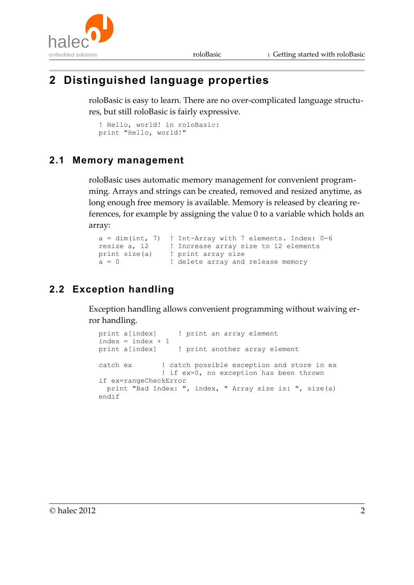



# **2 Distinguished language properties**

roloBasic is easy to learn. There are no over-complicated language structures, but still roloBasic is fairly expressive.

```
! Hello, world! in roloBasic:
print "Hello, world!"
```
#### **2.1 Memory management**

roloBasic uses automatic memory management for convenient programming. Arrays and strings can be created, removed and resized anytime, as long enough free memory is available. Memory is released by clearing references, for example by assigning the value 0 to a variable which holds an array:

```
a = dim(int, 7) ! Int-Array with 7 elements. Index: 0-6
resize a, 12 | Increase array size to 12 elements
print size(a) ! print array size
a = 0 \blacksquare ! delete array and release memory
```
#### **2.2 Exception handling**

Exception handling allows convenient programming without waiving error handling.

```
print a[index] ! print an array element
index = index + 1print a[index] ! print another array element
catch ex \qquad ! catch possible exception and store in ex
               ! if ex=0, no exception has been thrown
if ex=rangeCheckError
  print "Bad Index: ", index, " Array size is: ", size(a)
endif
```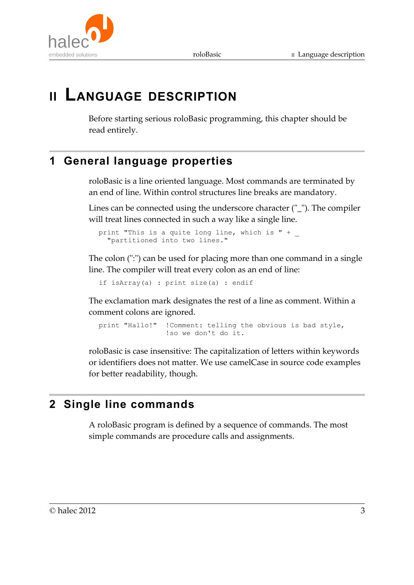

# **II LANGUAGE DESCRIPTION**

Before starting serious roloBasic programming, this chapter should be read entirely.

# **1 General language properties**

roloBasic is a line oriented language. Most commands are terminated by an end of line. Within control structures line breaks are mandatory.

Lines can be connected using the underscore character ("\_"). The compiler will treat lines connected in such a way like a single line.

print "This is a quite long line, which is " + \_ "partitioned into two lines."

The colon (":") can be used for placing more than one command in a single line. The compiler will treat every colon as an end of line:

if isArray(a) : print size(a) : endif

The exclamation mark designates the rest of a line as comment. Within a comment colons are ignored.

print "Hallo!" !Comment: telling the obvious is bad style, !so we don't do it.

roloBasic is case insensitive: The capitalization of letters within keywords or identifiers does not matter. We use camelCase in source code examples for better readability, though.

# **2 Single line commands**

A roloBasic program is defined by a sequence of commands. The most simple commands are procedure calls and assignments.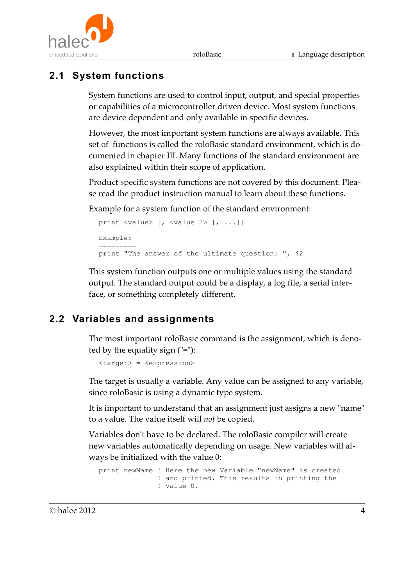



# **2.1 System functions**

System functions are used to control input, output, and special properties or capabilities of a microcontroller driven device. Most system functions are device dependent and only available in specific devices.

However, the most important system functions are always available. This set of functions is called the roloBasic standard environment, which is documented in chapter III. Many functions of the standard environment are also explained within their scope of application.

Product specific system functions are not covered by this document. Please read the product instruction manual to learn about these functions.

Example for a system function of the standard environment:

```
print <value> [, <value 2> [, ...]]
Example:
=========
print "The answer of the ultimate question: ", 42
```
This system function outputs one or multiple values using the standard output. The standard output could be a display, a log file, a serial interface, or something completely different.

## **2.2 Variables and assignments**

The most important roloBasic command is the assignment, which is denoted by the equality sign ("="):

<target> = <expression>

The target is usually a variable. Any value can be assigned to any variable, since roloBasic is using a dynamic type system.

It is important to understand that an assignment just assigns a new "name" to a value. The value itself will *not* be copied.

Variables don't have to be declared. The roloBasic compiler will create new variables automatically depending on usage. New variables will always be initialized with the value 0:

```
print newName ! Here the new Variable "newName" is created
               ! and printed. This results in printing the 
               ! value 0.
```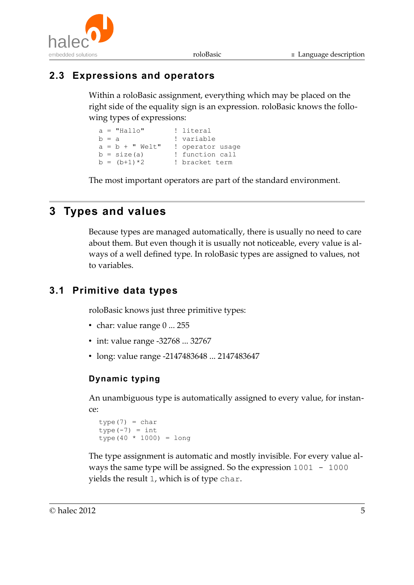



#### **2.3 Expressions and operators**

Within a roloBasic assignment, everything which may be placed on the right side of the equality sign is an expression. roloBasic knows the following types of expressions:

```
a = "Hallo" ! literal
b = a ! variable
a = b + " Welt" ! operator usage<br>
b = size(a) ! function call
                 b sperator usag<br>! function call
b = (b+1)*2 ! bracket term
```
The most important operators are part of the standard environment.

# **3 Types and values**

Because types are managed automatically, there is usually no need to care about them. But even though it is usually not noticeable, every value is always of a well defined type. In roloBasic types are assigned to values, not to variables.

#### **3.1 Primitive data types**

roloBasic knows just three primitive types:

- char: value range 0 ... 255
- int: value range -32768 ... 32767
- long: value range -2147483648 ... 2147483647

#### **Dynamic typing**

An unambiguous type is automatically assigned to every value, for instance:

```
type(7) = chartype(-7) = inttype(40 * 1000) = long
```
The type assignment is automatic and mostly invisible. For every value always the same type will be assigned. So the expression 1001 - 1000 yields the result 1, which is of type char.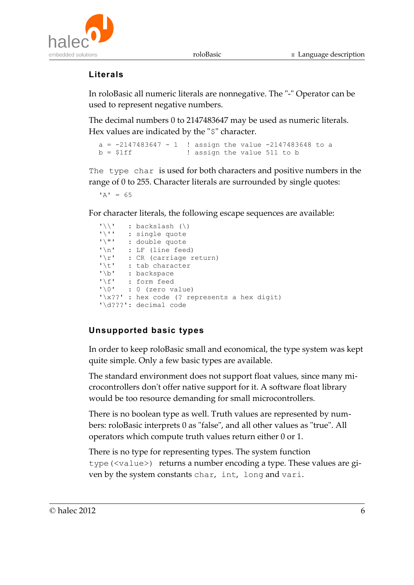

#### **Literals**

In roloBasic all numeric literals are nonnegative. The "-" Operator can be used to represent negative numbers.

The decimal numbers 0 to 2147483647 may be used as numeric literals. Hex values are indicated by the "\$" character.

```
a = -2147483647 - 1 ! assign the value -2147483648 to a
b = $1ff ! assign the value 511 to b
```
The type char is used for both characters and positive numbers in the range of 0 to 255. Character literals are surrounded by single quotes:

 $'A' = 65$ 

For character literals, the following escape sequences are available:

| $\mathbf{1} \setminus \mathbf{1}$ | : backslash $(\setminus)$                   |
|-----------------------------------|---------------------------------------------|
| $\mathbf{1} \setminus \mathbf{1}$ | : single quote                              |
| $1 \times 11$                     | : double quote                              |
| $\cdot \n\wedge n$                | : LF (line feed)                            |
| $' \rightharpoonup r'$            | : CR (carriage return)                      |
| ' \t'                             | : tab character                             |
| $' \b'$                           | : backspace                                 |
| $\mathsf{I} \setminus \mathsf{f}$ | : form feed                                 |
| $\cdot$ \ 0 $\cdot$               | $: 0$ (zero value)                          |
|                                   | $'\x$ : hex code (? represents a hex digit) |
|                                   | $' \ddot{q}$ ??': decimal code              |

#### **Unsupported basic types**

In order to keep roloBasic small and economical, the type system was kept quite simple. Only a few basic types are available.

The standard environment does not support float values, since many microcontrollers don't offer native support for it. A software float library would be too resource demanding for small microcontrollers.

There is no boolean type as well. Truth values are represented by numbers: roloBasic interprets 0 as "false", and all other values as "true". All operators which compute truth values return either 0 or 1.

There is no type for representing types. The system function type(<value>) returns a number encoding a type. These values are given by the system constants char, int, long and vari.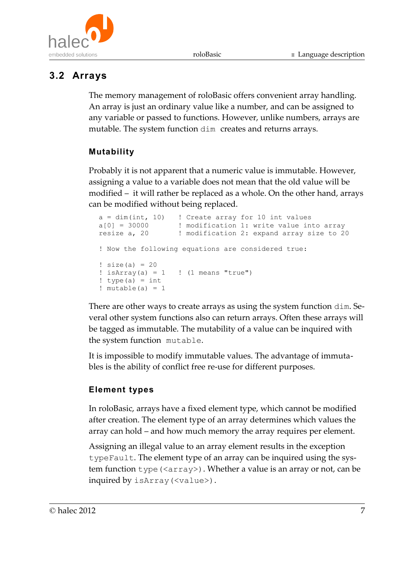

#### **3.2 Arrays**

The memory management of roloBasic offers convenient array handling. An array is just an ordinary value like a number, and can be assigned to any variable or passed to functions. However, unlike numbers, arrays are mutable. The system function dim creates and returns arrays.

#### **Mutability**

Probably it is not apparent that a numeric value is immutable. However, assigning a value to a variable does not mean that the old value will be modified – it will rather be replaced as a whole. On the other hand, arrays can be modified without being replaced.

```
a = dim(int, 10) ! Create array for 10 int values
a[0] = 30000 ! modification 1: write value into array
resize a, 20 \blacksquare ! modification 2: expand array size to 20
! Now the following equations are considered true:
! size(a) = 20
! isArray(a) = 1 ! (1 means "true")
! type(a) = int
! mutable(a) = 1
```
There are other ways to create arrays as using the system function dim. Several other system functions also can return arrays. Often these arrays will be tagged as immutable. The mutability of a value can be inquired with the system function mutable.

It is impossible to modify immutable values. The advantage of immutables is the ability of conflict free re-use for different purposes.

#### **Element types**

In roloBasic, arrays have a fixed element type, which cannot be modified after creation. The element type of an array determines which values the array can hold – and how much memory the array requires per element.

Assigning an illegal value to an array element results in the exception typeFault. The element type of an array can be inquired using the system function type (<array>). Whether a value is an array or not, can be inquired by isArray(<value>).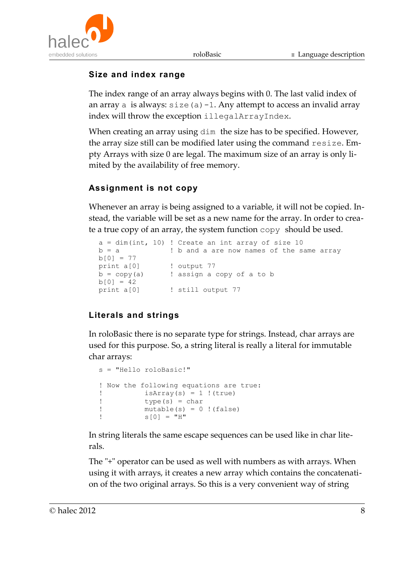

#### **Size and index range**

The index range of an array always begins with 0. The last valid index of an array a is always:  $size(a) -1$ . Any attempt to access an invalid array index will throw the exception illegalArrayIndex.

When creating an array using  $dim$  the size has to be specified. However, the array size still can be modified later using the command resize. Empty Arrays with size 0 are legal. The maximum size of an array is only limited by the availability of free memory.

#### **Assignment is not copy**

Whenever an array is being assigned to a variable, it will not be copied. Instead, the variable will be set as a new name for the array. In order to create a true copy of an array, the system function copy should be used.

```
a = dim(int, 10) ! Create an int array of size 10
b = a ! b and a are now names of the same array
b[0] = 77print a[0] ! output 77
b = copy(a) ! assign a copy of a to b
b[0] = 42print a[0] \qquad ! still output 77
```
#### **Literals and strings**

In roloBasic there is no separate type for strings. Instead, char arrays are used for this purpose. So, a string literal is really a literal for immutable char arrays:

```
s = "Hello roloBasic!"
! Now the following equations are true:
! isArray(s) = 1 !(true)
! type(s) = char 
! mutable(s) = 0 !(false)
         s[0] = "H"
```
In string literals the same escape sequences can be used like in char literals.

The "+" operator can be used as well with numbers as with arrays. When using it with arrays, it creates a new array which contains the concatenation of the two original arrays. So this is a very convenient way of string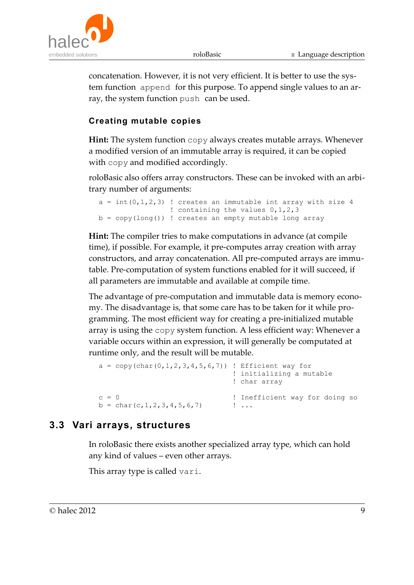

concatenation. However, it is not very efficient. It is better to use the system function append for this purpose. To append single values to an array, the system function push can be used.

#### **Creating mutable copies**

**Hint:** The system function copy always creates mutable arrays. Whenever a modified version of an immutable array is required, it can be copied with copy and modified accordingly.

roloBasic also offers array constructors. These can be invoked with an arbitrary number of arguments:

```
a = int(0, 1, 2, 3) ! creates an immutable int array with size 4
                  ! containing the values 0,1,2,3
b = copy(long()) ! creates an empty mutable long array
```
**Hint:** The compiler tries to make computations in advance (at compile time), if possible. For example, it pre-computes array creation with array constructors, and array concatenation. All pre-computed arrays are immutable. Pre-computation of system functions enabled for it will succeed, if all parameters are immutable and available at compile time.

The advantage of pre-computation and immutable data is memory economy. The disadvantage is, that some care has to be taken for it while programming. The most efficient way for creating a pre-initialized mutable array is using the copy system function. A less efficient way: Whenever a variable occurs within an expression, it will generally be computated at runtime only, and the result will be mutable.

```
a = copy(char (0, 1, 2, 3, 4, 5, 6, 7)) ! Efficient way for
                               ! initializing a mutable 
                              ! char array
c = 0 ! Inefficient way for doing so
b = char(c, 1, 2, 3, 4, 5, 6, 7) ! ...
```
#### **3.3 Vari arrays, structures**

In roloBasic there exists another specialized array type, which can hold any kind of values – even other arrays.

This array type is called vari.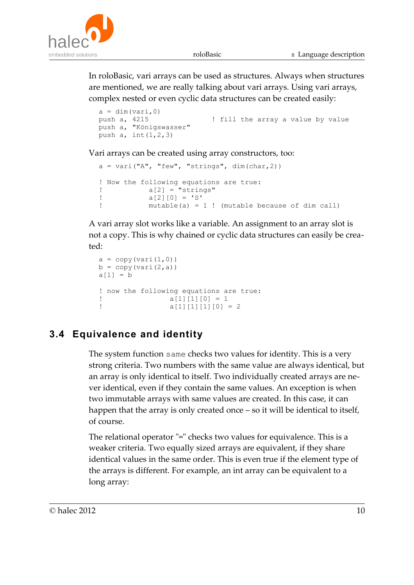

In roloBasic, vari arrays can be used as structures. Always when structures are mentioned, we are really talking about vari arrays. Using vari arrays, complex nested or even cyclic data structures can be created easily:

```
a = \dim(\text{vari.0})push a, 4215 ! fill the array a value by value
push a, "Königswasser" 
push a, int(1,2,3)
```
Vari arrays can be created using array constructors, too:

```
a = \text{vari}("A", "few", "strings", dim(char, 2))! Now the following equations are true:
a[2] = "strings"a[2][0] = 'S'! mutable(a) = 1 ! (mutable because of dim call)
```
A vari array slot works like a variable. An assignment to an array slot is not a copy. This is why chained or cyclic data structures can easily be created:

```
a = copy(vari(1,0))b = copy(vari(2, a))a[1] = b! now the following equations are true:
a[1][1][0] = 1a[1][1][1][0] = 2
```
#### **3.4 Equivalence and identity**

The system function same checks two values for identity. This is a very strong criteria. Two numbers with the same value are always identical, but an array is only identical to itself. Two individually created arrays are never identical, even if they contain the same values. An exception is when two immutable arrays with same values are created. In this case, it can happen that the array is only created once – so it will be identical to itself, of course.

The relational operator "=" checks two values for equivalence. This is a weaker criteria. Two equally sized arrays are equivalent, if they share identical values in the same order. This is even true if the element type of the arrays is different. For example, an int array can be equivalent to a long array: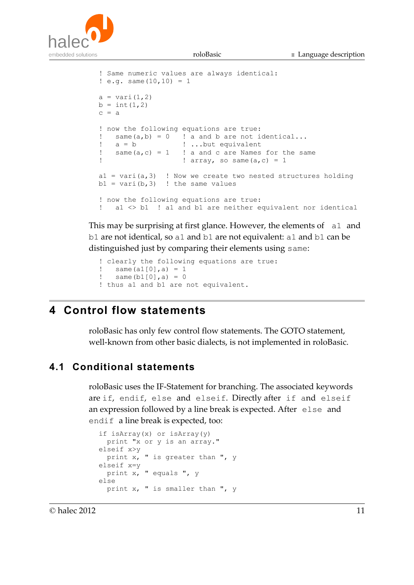

```
! Same numeric values are always identical:
: e. q. same (10, 10) = 1a = \text{vari}(1, 2)b = int(1, 2)c = a! now the following equations are true:
\text{same}(a,b) = 0 ! a and b are not identical...<br>! a = b ! ...but equivalent
! a = b ! ...but equivalent
! same(a, c) = 1 ! a and c are Names for the same
! array, so same(a, c) = 1a1 = \text{vari}(a,3) ! Now we create two nested structures holding
b1 = \text{vari}(b, 3) ! the same values
! now the following equations are true:
! a1 <> b1 ! a1 and b1 are neither equivalent nor identical
```
This may be surprising at first glance. However, the elements of all and b1 are not identical, so a1 and b1 are not equivalent: a1 and b1 can be distinguished just by comparing their elements using same:

```
! clearly the following equations are true: 
! same (a1[0], a) = 1! same(b1[0],a) = 0
! thus a1 and b1 are not equivalent.
```
## **4 Control flow statements**

roloBasic has only few control flow statements. The GOTO statement, well-known from other basic dialects, is not implemented in roloBasic.

#### **4.1 Conditional statements**

roloBasic uses the IF-Statement for branching. The associated keywords are if, endif, else and elseif. Directly after if and elseif an expression followed by a line break is expected. After else and endif a line break is expected, too:

```
if isArray(x) or isArray(y)
  print "x or y is an array."
elseif x>y
  print x, " is greater than ", y
elseif x=y
  print x, " equals ", y
else
  print x, " is smaller than ", y
```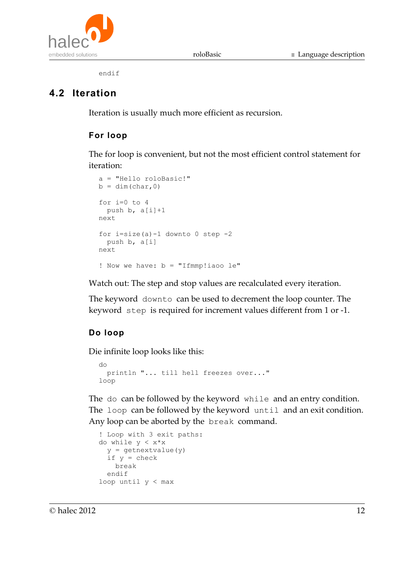



endif

#### **4.2 Iteration**

Iteration is usually much more efficient as recursion.

#### **For loop**

The for loop is convenient, but not the most efficient control statement for iteration:

```
a = "Hello roloBasic!"
b = dim(char, 0)for i=0 to 4
 push b, a[i]+1next
for i=size(a)-1 downto 0 step -2 push b, a[i]
next
! Now we have: b = "Ifmmp:iaoo le"
```
Watch out: The step and stop values are recalculated every iteration.

The keyword downto can be used to decrement the loop counter. The keyword step is required for increment values different from 1 or -1.

#### **Do loop**

Die infinite loop looks like this:

```
do
   println "... till hell freezes over..."
loop
```
The do can be followed by the keyword while and an entry condition. The loop can be followed by the keyword until and an exit condition. Any loop can be aborted by the break command.

```
! Loop with 3 exit paths:
do while y < x * xy = getnextvalue(y)
  if y = check break
   endif
loop until y < max
```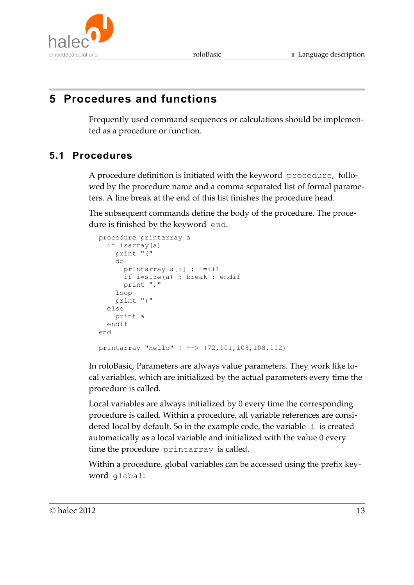# **5 Procedures and functions**

Frequently used command sequences or calculations should be implemented as a procedure or function.

#### **5.1 Procedures**

A procedure definition is initiated with the keyword procedure, followed by the procedure name and a comma separated list of formal parameters. A line break at the end of this list finishes the procedure head.

The subsequent commands define the body of the procedure. The procedure is finished by the keyword end.

```
procedure printarray a
   if isarray(a)
     print "("
     do
       printarray a[i] : i=i+1
       if i=size(a) : break : endif
      print ","
     loop
     print ")"
   else
     print a
   endif
end
printarray "Hello" ! --> (72,101,108,108,112)
```
In roloBasic, Parameters are always value parameters. They work like local variables, which are initialized by the actual parameters every time the procedure is called.

Local variables are always initialized by 0 every time the corresponding procedure is called. Within a procedure, all variable references are considered local by default. So in the example code, the variable  $\pm$  is created automatically as a local variable and initialized with the value 0 every time the procedure printarray is called.

Within a procedure, global variables can be accessed using the prefix keyword global: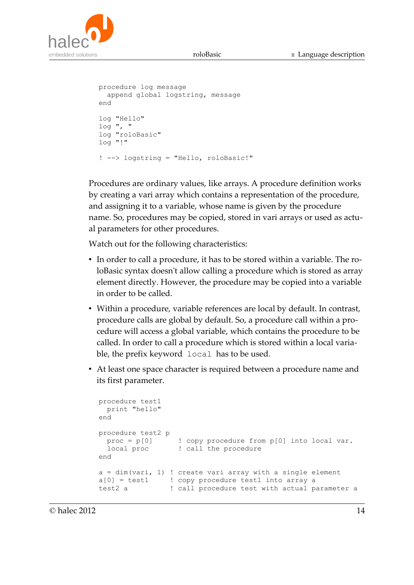



```
procedure log message
  append global logstring, message
end
log "Hello"
log ", "
log "roloBasic"
log "!"
! --> logstring = "Hello, roloBasic!"
```
Procedures are ordinary values, like arrays. A procedure definition works by creating a vari array which contains a representation of the procedure, and assigning it to a variable, whose name is given by the procedure name. So, procedures may be copied, stored in vari arrays or used as actual parameters for other procedures.

Watch out for the following characteristics:

- In order to call a procedure, it has to be stored within a variable. The roloBasic syntax doesn't allow calling a procedure which is stored as array element directly. However, the procedure may be copied into a variable in order to be called.
- Within a procedure, variable references are local by default. In contrast, procedure calls are global by default. So, a procedure call within a procedure will access a global variable, which contains the procedure to be called. In order to call a procedure which is stored within a local variable, the prefix keyword local has to be used.
- At least one space character is required between a procedure name and its first parameter.

```
procedure test1
  print "hello"
end
procedure test2 p
 proc = p[0] ! copy procedure from p[0] into local var.
local proc [11] call the procedure
end
a = dim(vari, 1) ! create vari array with a single element
a[0] = test1 ! copy procedure test1 into array a
test2 a ! call procedure test with actual parameter a
```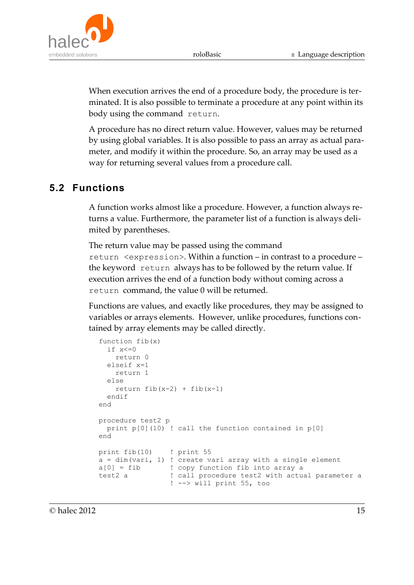

When execution arrives the end of a procedure body, the procedure is terminated. It is also possible to terminate a procedure at any point within its body using the command return.

A procedure has no direct return value. However, values may be returned by using global variables. It is also possible to pass an array as actual parameter, and modify it within the procedure. So, an array may be used as a way for returning several values from a procedure call.

#### **5.2 Functions**

A function works almost like a procedure. However, a function always returns a value. Furthermore, the parameter list of a function is always delimited by parentheses.

The return value may be passed using the command return <expression>. Within a function – in contrast to a procedure – the keyword return always has to be followed by the return value. If execution arrives the end of a function body without coming across a return command, the value 0 will be returned.

Functions are values, and exactly like procedures, they may be assigned to variables or arrays elements. However, unlike procedures, functions contained by array elements may be called directly.

```
function fib(x)
 if x \le 0 return 0
  elseif x=1
    return 1
  else
   return fib(x-2) + fib(x-1) endif
end
procedure test2 p
  print p[0](10) ! call the function contained in p[0]
end
print fib(10) ! print 55
a = \dim(\text{vari}, 1) ! create vari array with a single element
a[0] = fib ! copy function fib into array a
test2 a ! call procedure test2 with actual parameter a
                  ! --> will print 55, too
```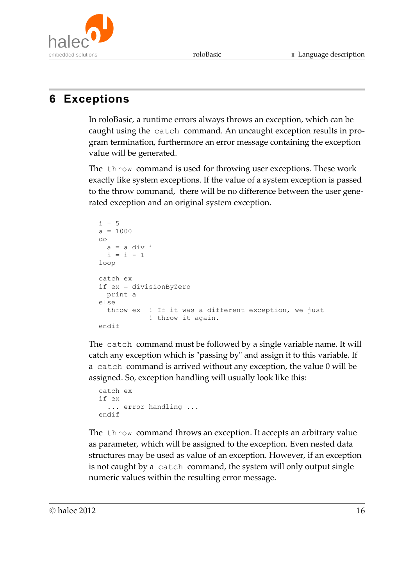

# **6 Exceptions**

In roloBasic, a runtime errors always throws an exception, which can be caught using the catch command. An uncaught exception results in program termination, furthermore an error message containing the exception value will be generated.

The throw command is used for throwing user exceptions. These work exactly like system exceptions. If the value of a system exception is passed to the throw command, there will be no difference between the user generated exception and an original system exception.

```
i = 5a = 1000do
 a = a div i
 i = i - 1loop
catch ex
if ex = divisionByZero
  print a
else
  throw ex ! If it was a different exception, we just
            ! throw it again.
endif
```
The catch command must be followed by a single variable name. It will catch any exception which is "passing by" and assign it to this variable. If a catch command is arrived without any exception, the value 0 will be assigned. So, exception handling will usually look like this:

```
catch ex
if ex
  ... error handling ...
endif
```
The throw command throws an exception. It accepts an arbitrary value as parameter, which will be assigned to the exception. Even nested data structures may be used as value of an exception. However, if an exception is not caught by a catch command, the system will only output single numeric values within the resulting error message.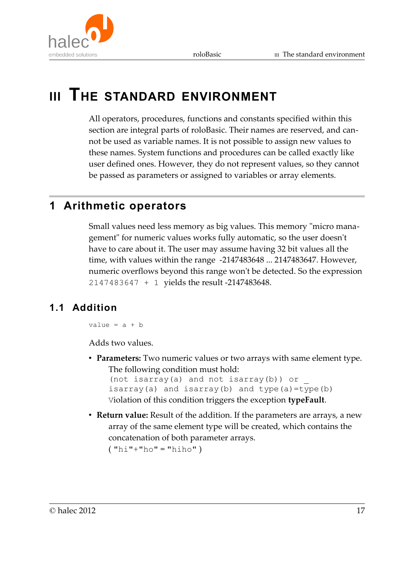

# **III THE STANDARD ENVIRONMENT**

All operators, procedures, functions and constants specified within this section are integral parts of roloBasic. Their names are reserved, and cannot be used as variable names. It is not possible to assign new values to these names. System functions and procedures can be called exactly like user defined ones. However, they do not represent values, so they cannot be passed as parameters or assigned to variables or array elements.

# **1 Arithmetic operators**

Small values need less memory as big values. This memory "micro management" for numeric values works fully automatic, so the user doesn't have to care about it. The user may assume having 32 bit values all the time, with values within the range -2147483648 ... 2147483647. However, numeric overflows beyond this range won't be detected. So the expression 2147483647 + 1 yields the result -2147483648.

#### **1.1 Addition**

value =  $a + b$ 

Adds two values.

• **Parameters:** Two numeric values or two arrays with same element type. The following condition must hold:

```
(not isarray(a) and not isarray(b)) or _
isarray(a) and isarray(b) and type(a)=type(b)
Violation of this condition triggers the exception typeFault.
```
• **Return value:** Result of the addition. If the parameters are arrays, a new array of the same element type will be created, which contains the concatenation of both parameter arrays.  $("hi"+"ho" = "hiho")$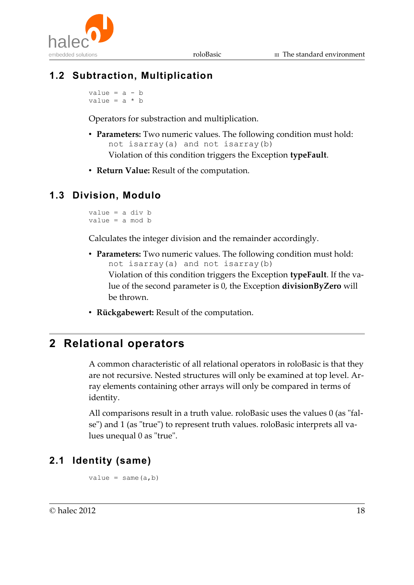

#### **1.2 Subtraction, Multiplication**

value =  $a - b$ value =  $a * b$ 

Operators for substraction and multiplication.

- **Parameters:** Two numeric values. The following condition must hold: not isarray(a) and not isarray(b) Violation of this condition triggers the Exception **typeFault**.
- **Return Value:** Result of the computation.

#### **1.3 Division, Modulo**

value = a div b value = a mod b

Calculates the integer division and the remainder accordingly.

- **Parameters:** Two numeric values. The following condition must hold: not isarray(a) and not isarray(b) Violation of this condition triggers the Exception **typeFault**. If the value of the second parameter is 0, the Exception **divisionByZero** will be thrown.
- **Rückgabewert:** Result of the computation.

## **2 Relational operators**

A common characteristic of all relational operators in roloBasic is that they are not recursive. Nested structures will only be examined at top level. Array elements containing other arrays will only be compared in terms of identity.

All comparisons result in a truth value. roloBasic uses the values 0 (as "false") and 1 (as "true") to represent truth values. roloBasic interprets all values unequal 0 as "true".

#### **2.1 Identity (same)**

```
value = same(a,b)
```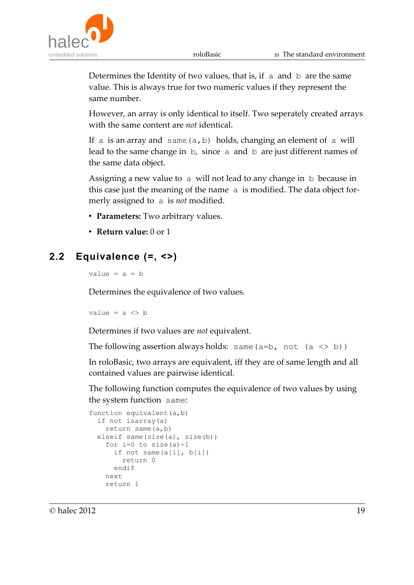

Determines the Identity of two values, that is, if a and b are the same value. This is always true for two numeric values if they represent the same number.

However, an array is only identical to itself. Two seperately created arrays with the same content are *not* identical.

If a is an array and same  $(a, b)$  holds, changing an element of a will lead to the same change in b, since a and b are just different names of the same data object.

Assigning a new value to a will not lead to any change in b because in this case just the meaning of the name a is modified. The data object formerly assigned to a is *not* modified.

- **Parameters:** Two arbitrary values.
- **Return value:** 0 or 1

#### **2.2 Equivalence (=, <>)**

value =  $a = b$ 

Determines the equivalence of two values.

value =  $a \Leftrightarrow b$ 

Determines if two values are *not* equivalent.

```
The following assertion always holds: same (a=b, not (a \le b))
```
In roloBasic, two arrays are equivalent, iff they are of same length and all contained values are pairwise identical.

The following function computes the equivalence of two values by using the system function same:

```
function equivalent (a, b)
  if not isarray(a)
    return same(a,b)
 elseif same(size(a), size(b))
    for i=0 to size(a)-1 if not same(a[i], b[i])
         return 0
       endif
    next
     return 1
```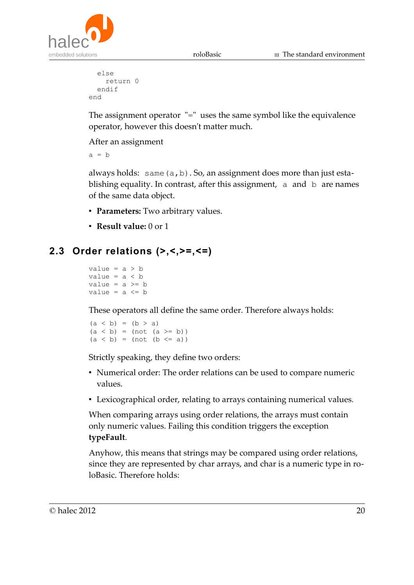

```
 else
     return 0
   endif
end
```
The assignment operator "=" uses the same symbol like the equivalence operator, however this doesn't matter much.

After an assignment

 $a = b$ 

always holds: same  $(a, b)$ . So, an assignment does more than just establishing equality. In contrast, after this assignment, a and b are names of the same data object.

- **Parameters:** Two arbitrary values.
- **Result value:** 0 or 1

#### **2.3 Order relations (>,<,>=,<=)**

```
value = a > bvalue = a < bvalue = a \ge bvalue = a \leq b
```
These operators all define the same order. Therefore always holds:

 $(a < b) = (b > a)$  $(a < b) = (not (a > = b))$  $(a < b) = (not (b < = a))$ 

Strictly speaking, they define two orders:

- Numerical order: The order relations can be used to compare numeric values.
- Lexicographical order, relating to arrays containing numerical values.

When comparing arrays using order relations, the arrays must contain only numeric values. Failing this condition triggers the exception **typeFault**.

Anyhow, this means that strings may be compared using order relations, since they are represented by char arrays, and char is a numeric type in roloBasic. Therefore holds: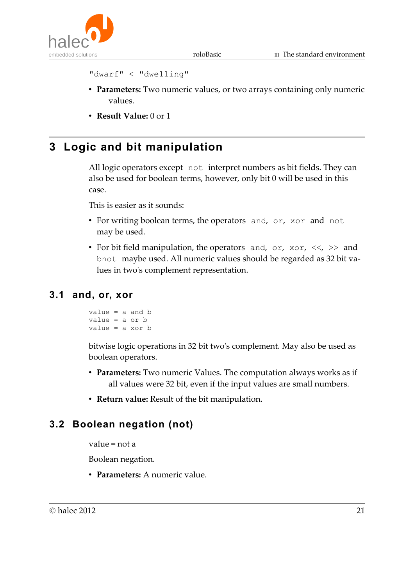

```
"dwarf" < "dwelling"
```
- **Parameters:** Two numeric values, or two arrays containing only numeric values.
- **Result Value:** 0 or 1

# **3 Logic and bit manipulation**

All logic operators except not interpret numbers as bit fields. They can also be used for boolean terms, however, only bit 0 will be used in this case.

This is easier as it sounds:

- For writing boolean terms, the operators and, or, xor and not may be used.
- For bit field manipulation, the operators and, or,  $x_0$ ,  $\langle \langle \rangle \rangle$  and bnot maybe used. All numeric values should be regarded as 32 bit values in two's complement representation.

#### **3.1 and, or, xor**

```
value = a and b
value = a or b
value = a xor b
```
bitwise logic operations in 32 bit two's complement. May also be used as boolean operators.

- **Parameters:** Two numeric Values. The computation always works as if all values were 32 bit, even if the input values are small numbers.
- **Return value:** Result of the bit manipulation.

#### **3.2 Boolean negation (not)**

value = not a

Boolean negation.

• **Parameters:** A numeric value.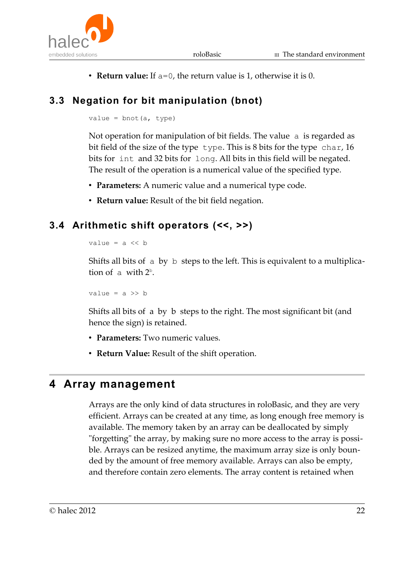

• **Return value:** If a=0, the return value is 1, otherwise it is 0.

# **3.3 Negation for bit manipulation (bnot)**

value =  $bnot(a, type)$ 

Not operation for manipulation of bit fields. The value a is regarded as bit field of the size of the type type. This is 8 bits for the type char, 16 bits for int and 32 bits for long. All bits in this field will be negated. The result of the operation is a numerical value of the specified type.

- **Parameters:** A numeric value and a numerical type code.
- **Return value:** Result of the bit field negation.

#### **3.4 Arithmetic shift operators (<<, >>)**

value =  $a \ll b$ 

Shifts all bits of a by b steps to the left. This is equivalent to a multiplication of  $\alpha$  with  $2^b$ .

value =  $a \gg b$ 

Shifts all bits of a by b steps to the right. The most significant bit (and hence the sign) is retained.

- **Parameters:** Two numeric values.
- **Return Value:** Result of the shift operation.

## **4 Array management**

Arrays are the only kind of data structures in roloBasic, and they are very efficient. Arrays can be created at any time, as long enough free memory is available. The memory taken by an array can be deallocated by simply "forgetting" the array, by making sure no more access to the array is possible. Arrays can be resized anytime, the maximum array size is only bounded by the amount of free memory available. Arrays can also be empty, and therefore contain zero elements. The array content is retained when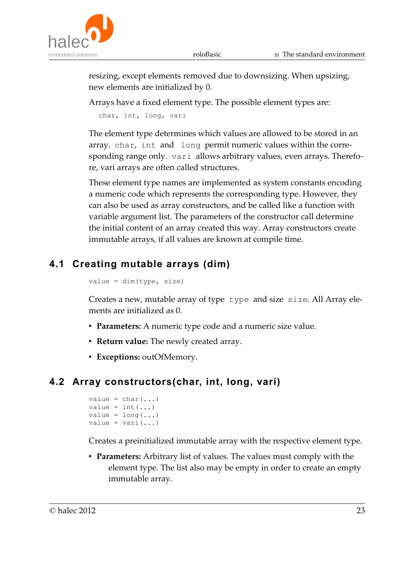

resizing, except elements removed due to downsizing. When upsizing, new elements are initialized by 0.

Arrays have a fixed element type. The possible element types are:

char, int, long, vari

The element type determines which values are allowed to be stored in an array. char, int and long permit numeric values within the corresponding range only. vari allows arbitrary values, even arrays. Therefore, vari arrays are often called structures.

These element type names are implemented as system constants encoding a numeric code which represents the corresponding type. However, they can also be used as array constructors, and be called like a function with variable argument list. The parameters of the constructor call determine the initial content of an array created this way. Array constructors create immutable arrays, if all values are known at compile time.

#### **4.1 Creating mutable arrays (dim)**

```
value = dim(type, size)
```
Creates a new, mutable array of type type and size size. All Array elements are initialized as 0.

- **Parameters:** A numeric type code and a numeric size value.
- **Return value:** The newly created array.
- **Exceptions:** outOfMemory.

#### **4.2 Array constructors(char, int, long, vari)**

```
value = char(...)value = int(...)value = long(...)value = \text{vari}(\ldots)
```
Creates a preinitialized immutable array with the respective element type.

• **Parameters:** Arbitrary list of values. The values must comply with the element type. The list also may be empty in order to create an empty immutable array.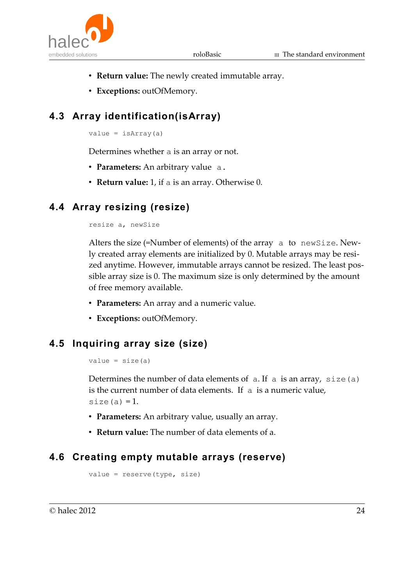

- **Return value:** The newly created immutable array.
- **Exceptions:** outOfMemory.

# **4.3 Array identification(isArray)**

 $value = isArray(a)$ 

Determines whether a is an array or not.

- **Parameters:** An arbitrary value a.
- **Return value:** 1, if a is an array. Otherwise 0.

#### **4.4 Array resizing (resize)**

#### resize a, newSize

Alters the size (=Number of elements) of the array a to newSize. Newly created array elements are initialized by 0. Mutable arrays may be resized anytime. However, immutable arrays cannot be resized. The least possible array size is 0. The maximum size is only determined by the amount of free memory available.

- **Parameters:** An array and a numeric value.
- **Exceptions:** outOfMemory.

#### **4.5 Inquiring array size (size)**

```
value = size(a)
```
Determines the number of data elements of  $a$ . If  $a$  is an array, size(a) is the current number of data elements. If a is a numeric value, size $(a) = 1$ .

- **Parameters:** An arbitrary value, usually an array.
- **Return value:** The number of data elements of a.

#### **4.6 Creating empty mutable arrays (reserve)**

```
value = reserve(type, size)
```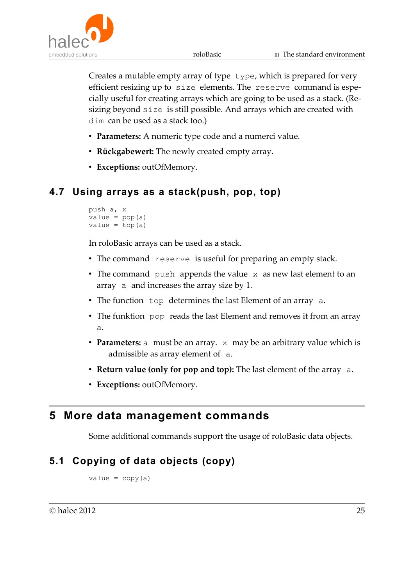

Creates a mutable empty array of type type, which is prepared for very efficient resizing up to size elements. The reserve command is especially useful for creating arrays which are going to be used as a stack. (Resizing beyond size is still possible. And arrays which are created with dim can be used as a stack too.)

- **Parameters:** A numeric type code and a numerci value.
- **Rückgabewert:** The newly created empty array.
- **Exceptions:** outOfMemory.

#### **4.7 Using arrays as a stack(push, pop, top)**

```
push a, x
value = pop(a)value = top(a)
```
In roloBasic arrays can be used as a stack.

- The command reserve is useful for preparing an empty stack.
- The command push appends the value x as new last element to an array a and increases the array size by 1.
- The function top determines the last Element of an array a.
- The funktion pop reads the last Element and removes it from an array a.
- **Parameters:** a must be an array. x may be an arbitrary value which is admissible as array element of a.
- **Return value (only for pop and top):** The last element of the array a.
- **Exceptions:** outOfMemory.

#### **5 More data management commands**

Some additional commands support the usage of roloBasic data objects.

## **5.1 Copying of data objects (copy)**

 $value = copy(a)$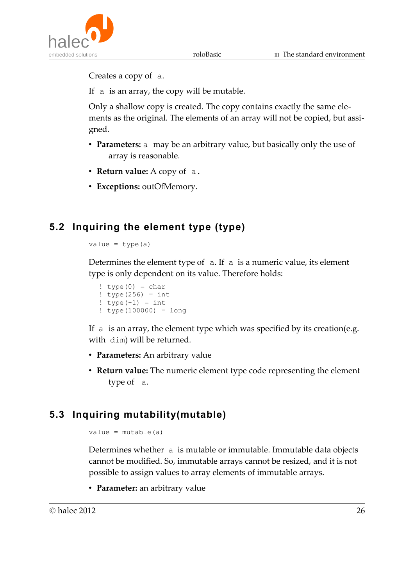

Creates a copy of a.

If a is an array, the copy will be mutable.

Only a shallow copy is created. The copy contains exactly the same elements as the original. The elements of an array will not be copied, but assigned.

- **Parameters:** a may be an arbitrary value, but basically only the use of array is reasonable.
- **Return value:** A copy of a.
- **Exceptions:** outOfMemory.

#### **5.2 Inquiring the element type (type)**

```
value = type(a)
```
Determines the element type of  $a$ . If  $a$  is a numeric value, its element type is only dependent on its value. Therefore holds:

```
! type(0) = char
! type(256) = int
! type(-1) = int! type(100000) = long
```
If a is an array, the element type which was specified by its creation(e.g. with dim) will be returned.

- **Parameters:** An arbitrary value
- **Return value:** The numeric element type code representing the element type of a.

#### **5.3 Inquiring mutability(mutable)**

```
value = mutable(a)
```
Determines whether a is mutable or immutable. Immutable data objects cannot be modified. So, immutable arrays cannot be resized, and it is not possible to assign values to array elements of immutable arrays.

• **Parameter:** an arbitrary value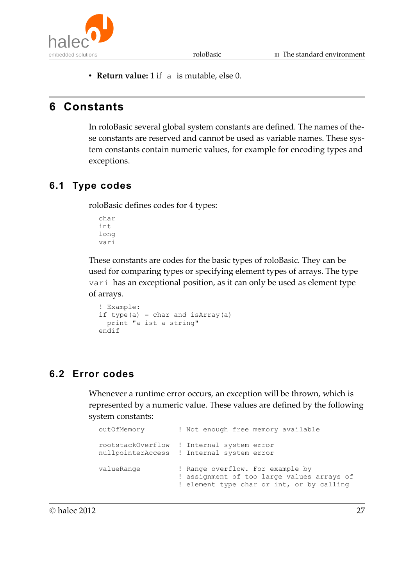

• **Return value:** 1 if a is mutable, else 0.

# **6 Constants**

In roloBasic several global system constants are defined. The names of these constants are reserved and cannot be used as variable names. These system constants contain numeric values, for example for encoding types and exceptions.

#### **6.1 Type codes**

roloBasic defines codes for 4 types:

char int long vari

These constants are codes for the basic types of roloBasic. They can be used for comparing types or specifying element types of arrays. The type vari has an exceptional position, as it can only be used as element type of arrays.

```
! Example:
if type(a) = char and isArray(a) print "a ist a string"
endif
```
#### **6.2 Error codes**

Whenever a runtime error occurs, an exception will be thrown, which is represented by a numeric value. These values are defined by the following system constants:

```
outOfMemory ! Not enough free memory available
rootstackOverflow ! Internal system error
nullpointerAccess ! Internal system error
valueRange ! Range overflow. For example by
                   ! assignment of too large values arrays of
                   ! element type char or int, or by calling
```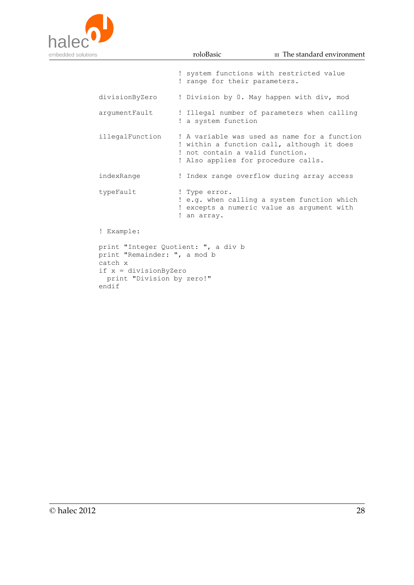

if x = divisionByZero

endif

print "Division by zero!"

|                                                                                |  | ! system functions with restricted value<br>! range for their parameters.                                                                                            |  |  |  |
|--------------------------------------------------------------------------------|--|----------------------------------------------------------------------------------------------------------------------------------------------------------------------|--|--|--|
| divisionByZero                                                                 |  | ! Division by 0. May happen with div, mod                                                                                                                            |  |  |  |
| arqumentFault                                                                  |  | ! Illegal number of parameters when calling<br>! a system function                                                                                                   |  |  |  |
| illegalFunction                                                                |  | ! A variable was used as name for a function<br>! within a function call, although it does<br>! not contain a valid function.<br>! Also applies for procedure calls. |  |  |  |
| indexRange                                                                     |  | ! Index range overflow during array access                                                                                                                           |  |  |  |
| typeFault                                                                      |  | ! Type error.<br>! e.g. when calling a system function which<br>! excepts a numeric value as argument with<br>! an array.                                            |  |  |  |
| ! Example:                                                                     |  |                                                                                                                                                                      |  |  |  |
| print "Integer Quotient: ", a div b<br>print "Remainder: ", a mod b<br>catch x |  |                                                                                                                                                                      |  |  |  |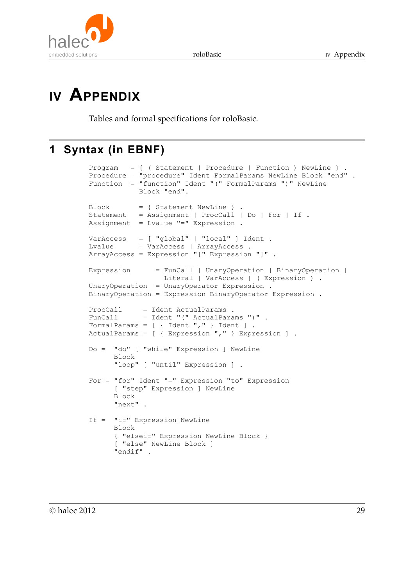



# **IV APPENDIX**

Tables and formal specifications for roloBasic.

# **1 Syntax (in EBNF)**

```
Program = \{ (Statement | Procedure | Function ) NewLine } .
Procedure = "procedure" Ident FormalParams NewLine Block "end" .
Function = "function" Ident "(" FormalParams ")" NewLine 
            Block "end".
Block = { Statement NewLine } .
Statement = Assignment | ProcCall | Do | For | If .
Assignment = Lvalue "="="" Expression .
VarAccess = [ "global" | "local" ] Ident .
Lvalue = VarAccess | ArrayAccess .
ArrayAccess = Expression "[" Expression "]" .
Expression = FunCall | UnaryOperation | BinaryOperation | 
                 Literal | VarAccess | ( Expression ) .
UnaryOperation = UnaryOperator Expression .
BinaryOperation = Expression BinaryOperator Expression .
ProcCall = Ident ActualParams .
FunCall = Ident "(" ActualParams ")" .
FormalParams = [ { Ident "," } Ident ] .
ActualParams = [ { Expression "," } Expression ] .
Do = "do" [ "while" Expression ] NewLine 
       Block 
       "loop" [ "until" Expression ] .
For = "for" Ident "=" Expression "to" Expression 
       [ "step" Expression ] NewLine 
      Block 
       "next" .
If = "if" Expression NewLine 
      Block 
       { "elseif" Expression NewLine Block } 
       [ "else" NewLine Block ] 
       "endif" .
```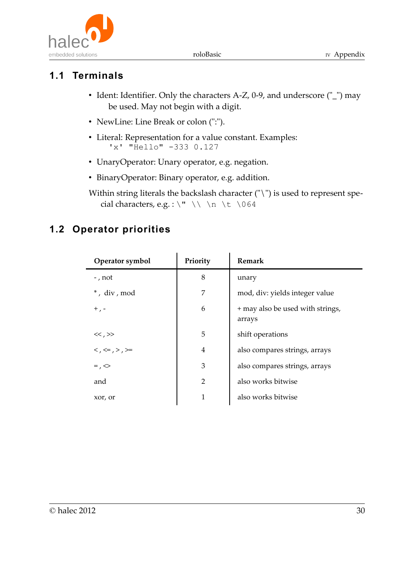

# **1.1 Terminals**

- Ident: Identifier. Only the characters A-Z, 0-9, and underscore ("\_") may be used. May not begin with a digit.
- NewLine: Line Break or colon (":").
- Literal: Representation for a value constant. Examples: 'x' "Hello" -333 0.127
- UnaryOperator: Unary operator, e.g. negation.
- BinaryOperator: Binary operator, e.g. addition.

Within string literals the backslash character ("\") is used to represent special characters, e.g. : \" \\ \n \t \064

#### **1.2 Operator priorities**

| Operator symbol                 | Priority       | Remark                                     |
|---------------------------------|----------------|--------------------------------------------|
| -, not                          | 8              | unary                                      |
| *, div, mod                     | 7              | mod, div: yields integer value             |
| $+$ , -                         | 6              | + may also be used with strings,<br>arrays |
| $<<$ , $>>$                     | 5              | shift operations                           |
| $\lt$ , $\lt =$ , $>$ , $\gt =$ | 4              | also compares strings, arrays              |
| $=$ , $\diamond$                | 3              | also compares strings, arrays              |
| and                             | $\overline{2}$ | also works bitwise                         |
| xor, or                         | 1              | also works bitwise                         |